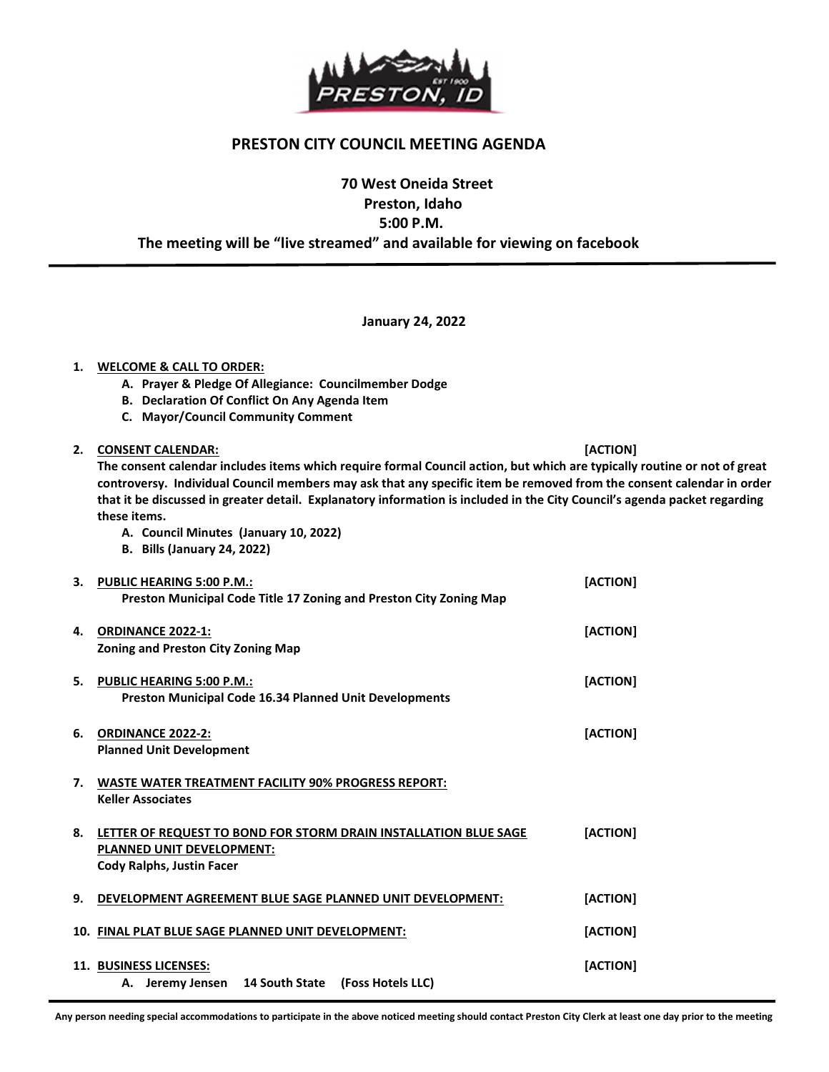

#### PRESTON CITY COUNCIL MEETING AGENDA

## 70 West Oneida Street Preston, Idaho 5:00 P.M. The meeting will be "live streamed" and available for viewing on facebook

January 24, 2022

# 1. WELCOME & CALL TO ORDER:

- A. Prayer & Pledge Of Allegiance: Councilmember Dodge
- B. Declaration Of Conflict On Any Agenda Item
- C. Mayor/Council Community Comment

2. CONSENT CALENDAR: [ACTION]

j

The consent calendar includes items which require formal Council action, but which are typically routine or not of great controversy. Individual Council members may ask that any specific item be removed from the consent calendar in order that it be discussed in greater detail. Explanatory information is included in the City Council's agenda packet regarding these items.

- A. Council Minutes (January 10, 2022)
- B. Bills (January 24, 2022)

| 3.  | PUBLIC HEARING 5:00 P.M.:<br>Preston Municipal Code Title 17 Zoning and Preston City Zoning Map                                   | [ACTION] |
|-----|-----------------------------------------------------------------------------------------------------------------------------------|----------|
| 4.  | <b>ORDINANCE 2022-1:</b><br><b>Zoning and Preston City Zoning Map</b>                                                             | [ACTION] |
| 5.  | <b>PUBLIC HEARING 5:00 P.M.:</b><br><b>Preston Municipal Code 16.34 Planned Unit Developments</b>                                 | [ACTION] |
| 6.  | <b>ORDINANCE 2022-2:</b><br><b>Planned Unit Development</b>                                                                       | [ACTION] |
| 7.  | <b>WASTE WATER TREATMENT FACILITY 90% PROGRESS REPORT:</b><br><b>Keller Associates</b>                                            |          |
| 8.  | LETTER OF REQUEST TO BOND FOR STORM DRAIN INSTALLATION BLUE SAGE<br><b>PLANNED UNIT DEVELOPMENT:</b><br>Cody Ralphs, Justin Facer | [ACTION] |
| 9.  | DEVELOPMENT AGREEMENT BLUE SAGE PLANNED UNIT DEVELOPMENT:                                                                         | [ACTION] |
| 10. | FINAL PLAT BLUE SAGE PLANNED UNIT DEVELOPMENT:                                                                                    | [ACTION] |
|     | 11. BUSINESS LICENSES:<br>Jeremy Jensen 14 South State (Foss Hotels LLC)<br>А.                                                    | [ACTION] |

Any person needing special accommodations to participate in the above noticed meeting should contact Preston City Clerk at least one day prior to the meeting